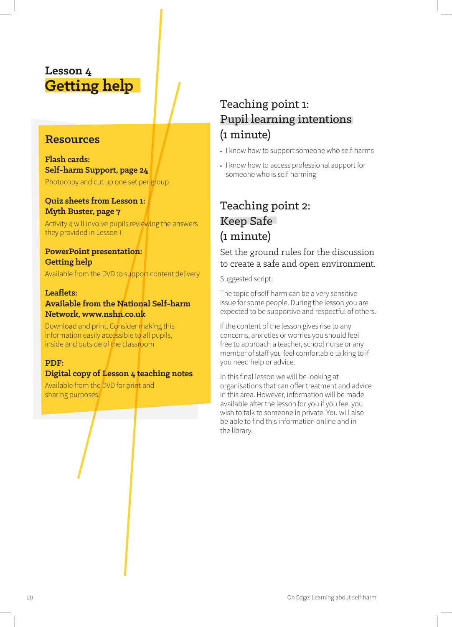### **Lesson 4 Getting help**

### **Resources**

**Flash cards: Self-harm Support, page 24** Photocopy and cut up one set per group

#### **Quiz sheets from Lesson 1: Myth Buster, page 7**

Activity 4 will involve pupils reviewing the answers they provided in Lesson 1

#### **PowerPoint presentation: Getting help**

Available from the DVD to support content delivery

#### **Leaflets: Available from the National Self-harm Network, www.nshn.co.uk**

Download and print. Consider making this information easily accessible to all pupils, inside and outside of the classroom

#### **PDF:**

#### **Digital copy of Lesson 4 teaching notes**

Available from the DVD for print and sharing purposes

# Teaching point 1: Pupil learning intentions (1 minute)

- **•** I know how to support someone who self-harms
- **•** I know how to access professional support for someone who is self-harming

### Teaching point 2: Keep Safe (1 minute)

#### Set the ground rules for the discussion to create a safe and open environment.

Suggested script:

The topic of self-harm can be a very sensitive issue for some people. During the lesson you are expected to be supportive and respectful of others.

If the content of the lesson gives rise to any concerns, anxieties or worries you should feel free to approach a teacher, school nurse or any member of staff you feel comfortable talking to if you need help or advice.

In this final lesson we will be looking at organisations that can offer treatment and advice in this area. However, information will be made available after the lesson for you if you feel you wish to talk to someone in private. You will also be able to find this information online and in the library.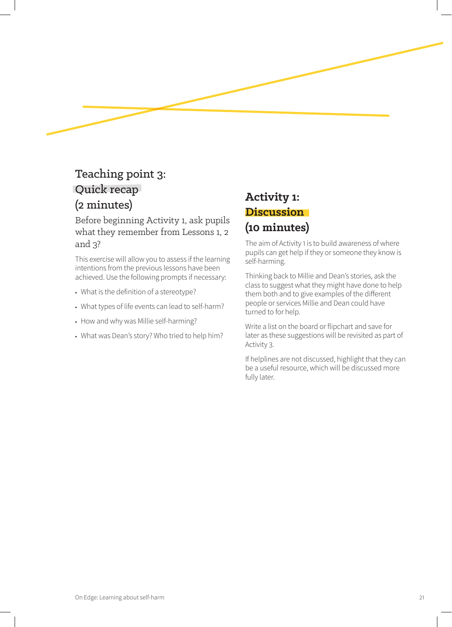## Teaching point 3: Quick recap (2 minutes)

Before beginning Activity 1, ask pupils what they remember from Lessons 1, 2 and 3?

This exercise will allow you to assess if the learning intentions from the previous lessons have been achieved. Use the following prompts if necessary:

- **•** What is the definition of a stereotype?
- **•** What types of life events can lead to self-harm?
- **•** How and why was Millie self-harming?
- **•** What was Dean's story? Who tried to help him?

### **Activity 1: Discussion (10 minutes)**

The aim of Activity 1 is to build awareness of where pupils can get help if they or someone they know is self-harming.

Thinking back to Millie and Dean's stories, ask the class to suggest what they might have done to help them both and to give examples of the different people or services Millie and Dean could have turned to for help.

Write a list on the board or flipchart and save for later as these suggestions will be revisited as part of Activity 3.

If helplines are not discussed, highlight that they can be a useful resource, which will be discussed more fully later.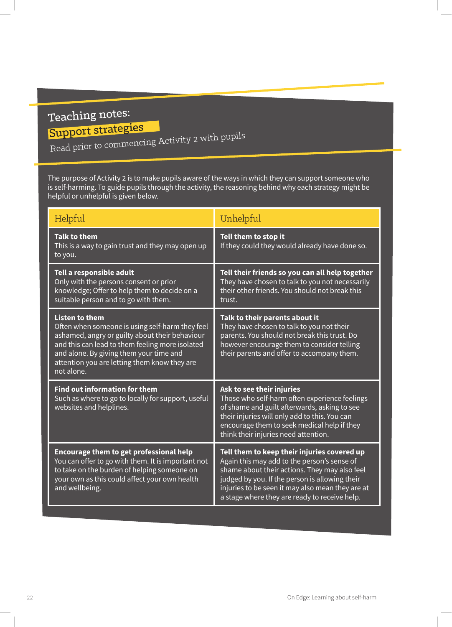# Teaching notes:

# Support strategies

Read prior to commencing Activity 2 with pupils

The purpose of Activity 2 is to make pupils aware of the ways in which they can support someone who is self-harming. To guide pupils through the activity, the reasoning behind why each strategy might be helpful or unhelpful is given below.

| Helpful                                                                                                                                                                                                                                                                                | Unhelpful                                                                                                                                                                                                                                                                                          |
|----------------------------------------------------------------------------------------------------------------------------------------------------------------------------------------------------------------------------------------------------------------------------------------|----------------------------------------------------------------------------------------------------------------------------------------------------------------------------------------------------------------------------------------------------------------------------------------------------|
| <b>Talk to them</b><br>This is a way to gain trust and they may open up<br>to you.                                                                                                                                                                                                     | Tell them to stop it<br>If they could they would already have done so.                                                                                                                                                                                                                             |
| Tell a responsible adult<br>Only with the persons consent or prior<br>knowledge; Offer to help them to decide on a<br>suitable person and to go with them.                                                                                                                             | Tell their friends so you can all help together<br>They have chosen to talk to you not necessarily<br>their other friends. You should not break this<br>trust.                                                                                                                                     |
| <b>Listen to them</b><br>Often when someone is using self-harm they feel<br>ashamed, angry or guilty about their behaviour<br>and this can lead to them feeling more isolated<br>and alone. By giving them your time and<br>attention you are letting them know they are<br>not alone. | Talk to their parents about it<br>They have chosen to talk to you not their<br>parents. You should not break this trust. Do<br>however encourage them to consider telling<br>their parents and offer to accompany them.                                                                            |
| <b>Find out information for them</b><br>Such as where to go to locally for support, useful<br>websites and helplines.                                                                                                                                                                  | Ask to see their injuries<br>Those who self-harm often experience feelings<br>of shame and guilt afterwards, asking to see<br>their injuries will only add to this. You can<br>encourage them to seek medical help if they<br>think their injuries need attention.                                 |
| <b>Encourage them to get professional help</b><br>You can offer to go with them. It is important not<br>to take on the burden of helping someone on<br>your own as this could affect your own health<br>and wellbeing.                                                                 | Tell them to keep their injuries covered up<br>Again this may add to the person's sense of<br>shame about their actions. They may also feel<br>judged by you. If the person is allowing their<br>injuries to be seen it may also mean they are at<br>a stage where they are ready to receive help. |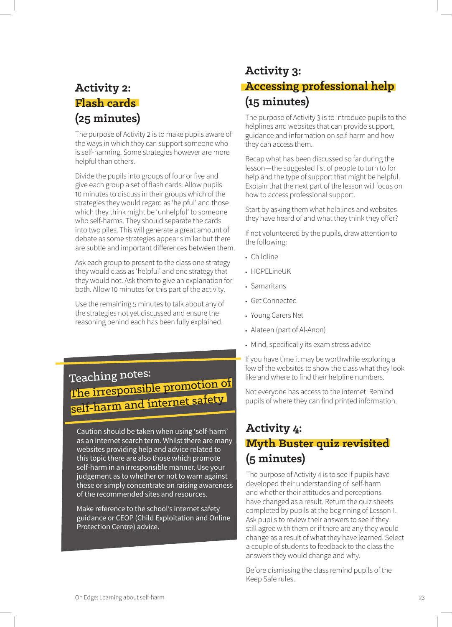### **Activity 2: Flash cards (25 minutes)**

The purpose of Activity 2 is to make pupils aware of the ways in which they can support someone who is self-harming. Some strategies however are more helpful than others.

Divide the pupils into groups of four or five and give each group a set of flash cards. Allow pupils 10 minutes to discuss in their groups which of the strategies they would regard as 'helpful' and those which they think might be 'unhelpful' to someone who self-harms. They should separate the cards into two piles. This will generate a great amount of debate as some strategies appear similar but there are subtle and important differences between them.

Ask each group to present to the class one strategy they would class as 'helpful' and one strategy that they would not. Ask them to give an explanation for both. Allow 10 minutes for this part of the activity.

Use the remaining 5 minutes to talk about any of the strategies not yet discussed and ensure the reasoning behind each has been fully explained.

# Teaching notes: The irresponsible promotion of self-harm and internet safety

Caution should be taken when using 'self-harm' as an internet search term. Whilst there are many websites providing help and advice related to this topic there are also those which promote self-harm in an irresponsible manner. Use your judgement as to whether or not to warn against these or simply concentrate on raising awareness of the recommended sites and resources.

Make reference to the school's internet safety guidance or CEOP (Child Exploitation and Online Protection Centre) advice.

### **Activity 3: Accessing professional help (15 minutes)**

The purpose of Activity 3 is to introduce pupils to the helplines and websites that can provide support, guidance and information on self-harm and how they can access them.

Recap what has been discussed so far during the lesson—the suggested list of people to turn to for help and the type of support that might be helpful. Explain that the next part of the lesson will focus on how to access professional support.

Start by asking them what helplines and websites they have heard of and what they think they offer?

If not volunteered by the pupils, draw attention to the following:

- **•** Childline
- **•** HOPELineUK
- **•** Samaritans
- **•** Get Connected
- **•** Young Carers Net
- **•** Alateen (part of Al-Anon)
- **•** Mind, specifically its exam stress advice

If you have time it may be worthwhile exploring a few of the websites to show the class what they look like and where to find their helpline numbers.

Not everyone has access to the internet. Remind pupils of where they can find printed information.

### **Activity 4: Myth Buster quiz revisited (5 minutes)**

The purpose of Activity 4 is to see if pupils have developed their understanding of self-harm and whether their attitudes and perceptions have changed as a result. Return the quiz sheets completed by pupils at the beginning of Lesson 1. Ask pupils to review their answers to see if they still agree with them or if there are any they would change as a result of what they have learned. Select a couple of students to feedback to the class the answers they would change and why.

Before dismissing the class remind pupils of the Keep Safe rules.